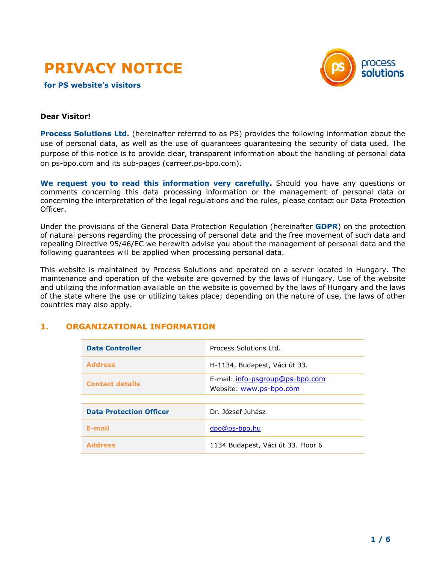

**for PS website's visitors** 



#### **Dear Visitor!**

**Process Solutions Ltd.** (hereinafter referred to as PS) provides the following information about the use of personal data, as well as the use of guarantees guaranteeing the security of data used. The purpose of this notice is to provide clear, transparent information about the handling of personal data on ps-bpo.com and its sub-pages (carreer.ps-bpo.com).

**We request you to read this information very carefully.** Should you have any questions or comments concerning this data processing information or the management of personal data or concerning the interpretation of the legal regulations and the rules, please contact our Data Protection Officer.

Under the provisions of the General Data Protection Regulation (hereinafter **GDPR**) on the protection of natural persons regarding the processing of personal data and the free movement of such data and repealing Directive 95/46/EC we herewith advise you about the management of personal data and the following guarantees will be applied when processing personal data.

This website is maintained by Process Solutions and operated on a server located in Hungary. The maintenance and operation of the website are governed by the laws of Hungary. Use of the website and utilizing the information available on the website is governed by the laws of Hungary and the laws of the state where the use or utilizing takes place; depending on the nature of use, the laws of other countries may also apply.

## **1. ORGANIZATIONAL INFORMATION**

| <b>Data Controller</b>         | Process Solutions Ltd.                                     |
|--------------------------------|------------------------------------------------------------|
| <b>Address</b>                 | H-1134, Budapest, Váci út 33.                              |
| <b>Contact details</b>         | E-mail: info-psgroup@ps-bpo.com<br>Website: www.ps-bpo.com |
|                                |                                                            |
| <b>Data Protection Officer</b> | Dr. József Juhász                                          |
| E-mail                         | dpo@ps-bpo.hu                                              |
| <b>Address</b>                 | 1134 Budapest, Váci út 33. Floor 6                         |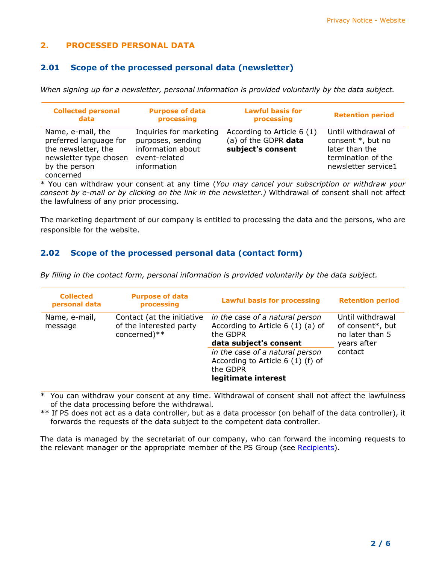# **2. PROCESSED PERSONAL DATA**

# **2.01 Scope of the processed personal data (newsletter)**

*When signing up for a newsletter, personal information is provided voluntarily by the data subject.*

| <b>Collected personal</b>                                                                                                  | <b>Purpose of data</b>                                                                            | <b>Lawful basis for</b>                                                 | <b>Retention period</b>                                                                                 |
|----------------------------------------------------------------------------------------------------------------------------|---------------------------------------------------------------------------------------------------|-------------------------------------------------------------------------|---------------------------------------------------------------------------------------------------------|
| data                                                                                                                       | processing                                                                                        | processing                                                              |                                                                                                         |
| Name, e-mail, the<br>preferred language for<br>the newsletter, the<br>newsletter type chosen<br>by the person<br>concerned | Inquiries for marketing<br>purposes, sending<br>information about<br>event-related<br>information | According to Article 6 (1)<br>(a) of the GDPR data<br>subject's consent | Until withdrawal of<br>consent *, but no<br>later than the<br>termination of the<br>newsletter service1 |

\* You can withdraw your consent at any time (*You may cancel your subscription or withdraw your consent by e-mail or by clicking on the link in the newsletter.)* Withdrawal of consent shall not affect the lawfulness of any prior processing.

The marketing department of our company is entitled to processing the data and the persons, who are responsible for the website.

# **2.02 Scope of the processed personal data (contact form)**

| <b>Collected</b><br>personal data | <b>Purpose of data</b><br>processing                                  | <b>Lawful basis for processing</b>                                                                                                                                                                                    | <b>Retention period</b>                                                           |
|-----------------------------------|-----------------------------------------------------------------------|-----------------------------------------------------------------------------------------------------------------------------------------------------------------------------------------------------------------------|-----------------------------------------------------------------------------------|
| Name, e-mail,<br>message          | Contact (at the initiative<br>of the interested party<br>concerned)** | in the case of a natural person<br>According to Article 6 (1) (a) of<br>the GDPR<br>data subject's consent<br>in the case of a natural person<br>According to Article 6 (1) (f) of<br>the GDPR<br>legitimate interest | Until withdrawal<br>of consent*, but<br>no later than 5<br>years after<br>contact |

*By filling in the contact form, personal information is provided voluntarily by the data subject.*

\* You can withdraw your consent at any time. Withdrawal of consent shall not affect the lawfulness of the data processing before the withdrawal.

\*\* If PS does not act as a data controller, but as a data processor (on behalf of the data controller), it forwards the requests of the data subject to the competent data controller.

The data is managed by the secretariat of our company, who can forward the incoming requests to the relevant manager or the appropriate member of the PS Group (see [Recipients\)](#page-3-0).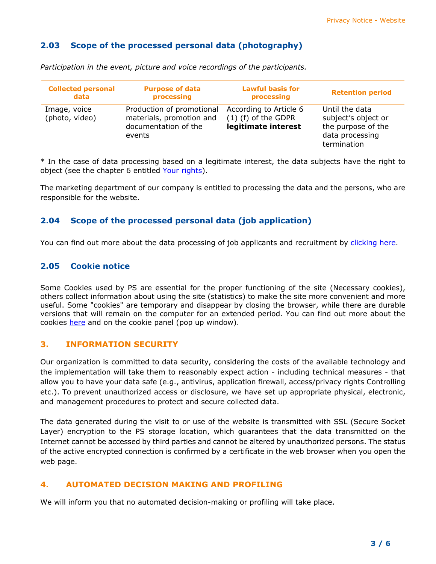## **2.03 Scope of the processed personal data (photography)**

| <b>Collected personal</b>      | <b>Purpose of data</b>                                                                  | <b>Lawful basis for</b>                                                | <b>Retention period</b>                                                                       |
|--------------------------------|-----------------------------------------------------------------------------------------|------------------------------------------------------------------------|-----------------------------------------------------------------------------------------------|
| data                           | processing                                                                              | processing                                                             |                                                                                               |
| Image, voice<br>(photo, video) | Production of promotional<br>materials, promotion and<br>documentation of the<br>events | According to Article 6<br>$(1)$ (f) of the GDPR<br>legitimate interest | Until the data<br>subject's object or<br>the purpose of the<br>data processing<br>termination |

*Participation in the event, picture and voice recordings of the participants.*

\* In the case of data processing based on a legitimate interest, the data subjects have the right to object (see the chapter 6 entitled [Your rights\)](#page-3-1).

The marketing department of our company is entitled to processing the data and the persons, who are responsible for the website.

### **2.04 Scope of the processed personal data (job application)**

You can find out more about the data processing of job applicants and recruitment by [clicking here.](https://www.ps-bpo.com/wp-content/uploads/dp03001-privacy-notice-for-applicants-web.pdf)

### **2.05 Cookie notice**

Some Cookies used by PS are essential for the proper functioning of the site (Necessary cookies), others collect information about using the site (statistics) to make the site more convenient and more useful. Some "cookies" are temporary and disappear by closing the browser, while there are durable versions that will remain on the computer for an extended period. You can find out more about the cookies [here](https://www.ps-bpo.com/cookie-notice/) and on the cookie panel (pop up window).

### **3. INFORMATION SECURITY**

Our organization is committed to data security, considering the costs of the available technology and the implementation will take them to reasonably expect action - including technical measures - that allow you to have your data safe (e.g., antivirus, application firewall, access/privacy rights Controlling etc.). To prevent unauthorized access or disclosure, we have set up appropriate physical, electronic, and management procedures to protect and secure collected data.

The data generated during the visit to or use of the website is transmitted with SSL (Secure Socket Layer) encryption to the PS storage location, which guarantees that the data transmitted on the Internet cannot be accessed by third parties and cannot be altered by unauthorized persons. The status of the active encrypted connection is confirmed by a certificate in the web browser when you open the web page.

## **4. AUTOMATED DECISION MAKING AND PROFILING**

We will inform you that no automated decision-making or profiling will take place.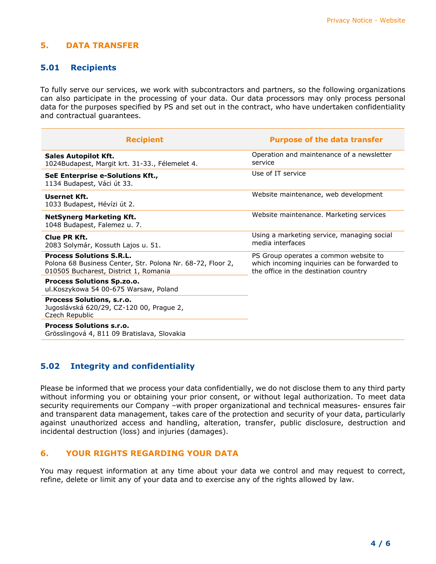## **5. DATA TRANSFER**

### <span id="page-3-0"></span>**5.01 Recipients**

To fully serve our services, we work with subcontractors and partners, so the following organizations can also participate in the processing of your data. Our data processors may only process personal data for the purposes specified by PS and set out in the contract, who have undertaken confidentiality and contractual guarantees.

| <b>Recipient</b>                                                                                                                       | <b>Purpose of the data transfer</b>                                                                                            |
|----------------------------------------------------------------------------------------------------------------------------------------|--------------------------------------------------------------------------------------------------------------------------------|
| <b>Sales Autopilot Kft.</b><br>1024Budapest, Margit krt. 31-33., Félemelet 4.                                                          | Operation and maintenance of a newsletter<br>service                                                                           |
| SeE Enterprise e-Solutions Kft.,<br>1134 Budapest, Váci út 33.                                                                         | Use of IT service                                                                                                              |
| Usernet Kft.<br>1033 Budapest, Hévízi út 2.                                                                                            | Website maintenance, web development                                                                                           |
| <b>NetSynerg Marketing Kft.</b><br>1048 Budapest, Falemez u. 7.                                                                        | Website maintenance. Marketing services                                                                                        |
| Clue PR Kft.<br>2083 Solymár, Kossuth Lajos u. 51.                                                                                     | Using a marketing service, managing social<br>media interfaces                                                                 |
| <b>Process Solutions S.R.L.</b><br>Polona 68 Business Center, Str. Polona Nr. 68-72, Floor 2,<br>010505 Bucharest, District 1, Romania | PS Group operates a common website to<br>which incoming inquiries can be forwarded to<br>the office in the destination country |
| <b>Process Solutions Sp.zo.o.</b><br>ul.Koszykowa 54 00-675 Warsaw, Poland                                                             |                                                                                                                                |
| Process Solutions, s.r.o.<br>Jugoslávská 620/29, CZ-120 00, Prague 2,<br>Czech Republic                                                |                                                                                                                                |
| <b>Process Solutions s.r.o.</b><br>Grösslingová 4, 811 09 Bratislava, Slovakia                                                         |                                                                                                                                |

### **5.02 Integrity and confidentiality**

Please be informed that we process your data confidentially, we do not disclose them to any third party without informing you or obtaining your prior consent, or without legal authorization. To meet data security requirements our Company –with proper organizational and technical measures- ensures fair and transparent data management, takes care of the protection and security of your data, particularly against unauthorized access and handling, alteration, transfer, public disclosure, destruction and incidental destruction (loss) and injuries (damages).

#### <span id="page-3-1"></span>**6. YOUR RIGHTS REGARDING YOUR DATA**

You may request information at any time about your data we control and may request to correct, refine, delete or limit any of your data and to exercise any of the rights allowed by law.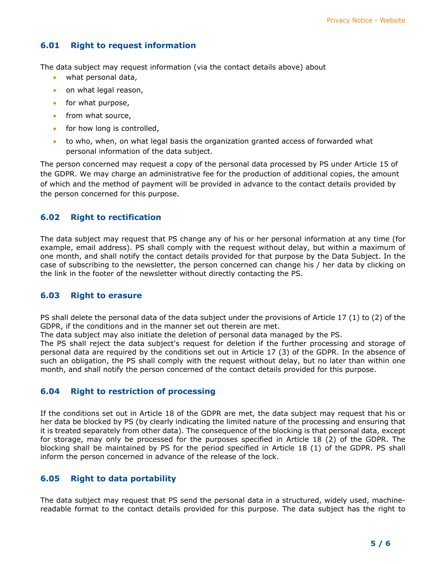# **6.01 Right to request information**

The data subject may request information (via the contact details above) about

- what personal data,
- on what legal reason,
- for what purpose,
- from what source,
- for how long is controlled,
- to who, when, on what legal basis the organization granted access of forwarded what personal information of the data subject.

The person concerned may request a copy of the personal data processed by PS under Article 15 of the GDPR. We may charge an administrative fee for the production of additional copies, the amount of which and the method of payment will be provided in advance to the contact details provided by the person concerned for this purpose.

## **6.02 Right to rectification**

The data subject may request that PS change any of his or her personal information at any time (for example, email address). PS shall comply with the request without delay, but within a maximum of one month, and shall notify the contact details provided for that purpose by the Data Subject. In the case of subscribing to the newsletter, the person concerned can change his / her data by clicking on the link in the footer of the newsletter without directly contacting the PS.

### **6.03 Right to erasure**

PS shall delete the personal data of the data subject under the provisions of Article 17 (1) to (2) of the GDPR, if the conditions and in the manner set out therein are met.

The data subject may also initiate the deletion of personal data managed by the PS.

The PS shall reject the data subject's request for deletion if the further processing and storage of personal data are required by the conditions set out in Article 17 (3) of the GDPR. In the absence of such an obligation, the PS shall comply with the request without delay, but no later than within one month, and shall notify the person concerned of the contact details provided for this purpose.

### **6.04 Right to restriction of processing**

If the conditions set out in Article 18 of the GDPR are met, the data subject may request that his or her data be blocked by PS (by clearly indicating the limited nature of the processing and ensuring that it is treated separately from other data). The consequence of the blocking is that personal data, except for storage, may only be processed for the purposes specified in Article 18 (2) of the GDPR. The blocking shall be maintained by PS for the period specified in Article 18 (1) of the GDPR. PS shall inform the person concerned in advance of the release of the lock.

## **6.05 Right to data portability**

The data subject may request that PS send the personal data in a structured, widely used, machinereadable format to the contact details provided for this purpose. The data subject has the right to